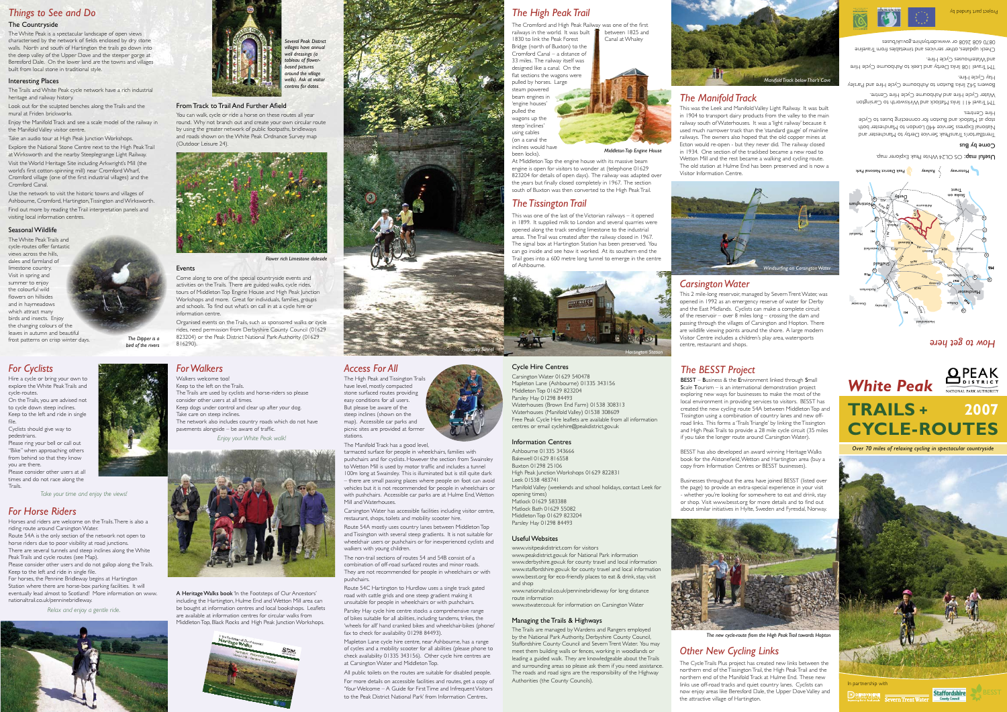# *For Cyclists*

Hire a cycle or bring your own to explore the White Peak Trails and cycle-routes.

On the Trails, you are advised not to cycle down steep inclines. Keep to the left and ride in single

file. Cyclists should give way to pedestrians.

Please ring your bell or call out "Bike" when approaching others from behind so that they know

you are there. Please consider other users at all times and do not race along the

*Take your time and enjoy the views!*

### *Access For All*

The High Peak and Tissington Trails have level, mostly compacted stone surfaced routes providing easy conditions for all users. But please be aware of the steep inclines (shown on the map). Accessible car parks and picnic sites are provided at former stations.



**Swainsley Tunnel** 

to Wetton Mill is used by motor traffic and includes a tunnel 100m long at Swainsley. This is illuminated but is still quite dark – there are small passing places where people on foot can avoid vehicles but it is not recommended for people in wheelchairs or with pushchairs. Accessible car parks are at Hulme End, Wetton

Mill and Waterhouses.



Carsington Water has accessible facilities including visitor centre,

restaurant, shops, toilets and mobility scooter hire.

Route 54A mostly uses country lanes between Middleton Top and Tissington with several steep gradients. It is not suitable for wheelchair users or pushchairs or for inexperienced cyclists and

walkers with young children. The non-trail sections of routes 54 and 54B consist of a combination of off-road surfaced routes and minor roads. They are not recommended for people in wheelchairs or with

Route 54C Hartington to Hurdlow uses a single track gated road with cattle grids and one steep gradient making it unsuitable for people in wheelchairs or with pushchairs. Parsley Hay cycle hire centre stocks a comprehensive range

of bikes suitable for all abilities, including tandems, trikes, the 'wheels for all!' hand cranked bikes and wheelchair-bikes (phone/ fax to check for availability 01298 84493).

Mapleton Lane cycle hire centre, near Ashbourne, has a range of cycles and a mobility scooter for all abilities (please phone to check availability 01335 343156). Other cycle hire centres are at Carsington Water and Middleton Top.

All public toilets on the routes are suitable for disabled people. For more details on accessible facilities and routes, get a copy of 'Your Welcome – A Guide for First Time and Infrequent Visitors to the Peak District National Park' from Information Centres.

# *Things to See and Do*

#### The Countryside

The White Peak is a spectacular landscape of open views characterised by the network of fields enclosed by dry stone walls. North and south of Hartington the trails go down into the deep valley of the Upper Dove and the steeper gorge at Beresford Dale. On the lower land are the towns and villages built from local stone in traditional style.

#### Interesting Places

The Trails and White Peak cycle network have a rich industrial heritage and railway history.

Look out for the sculpted benches along the Trails and the mural at Friden brickworks.

> BESST – Business & the Environment linked through Small Scale Tourism – is an international demonstration project exploring new ways for businesses to make the most of the local environment in providing services to visitors. BESST has created the new cycling route 54A between Middleton Top and Tissington using a combination of country lanes and new offroad links. This forms a 'Trails Triangle' by linking the Tissington and High Peak Trails to provide a 28 mile cycle circuit (35 miles if you take the longer route around Carsington Water).

Enjoy the Manifold Track and see a scale model of the railway in the Manifold Valley visitor centre.

Take an audio tour at High Peak Junction Workshops. Explore the National Stone Centre next to the High Peak Trail at Wirksworth and the nearby Steeplegrange Light Railway. Visit the World Heritage Site including Arkwright's Mill (the world's first cotton-spinning mill) near Cromford Wharf, Cromford village (one of the first industrial villages) and the Cromford Canal.

Use the network to visit the historic towns and villages of Ashbourne, Cromford, Hartington, Tissington and Wirksworth. Find out more by reading the Trail interpretation panels and visiting local information centres.

#### Seasonal Wildlife

The White Peak Trails and cycle-routes offer fantastic views across the hills, dales and farmland of limestone country. Visit in spring and summer to enjoy the colourful wild flowers on hillsides and in haymeadows which attract many birds and insects. Enjoy the changing colours of the leaves in autumn and beautiful frost patterns on crisp winter days.



### Cycle Hire Centres

Carsington Water 01629 540478 Mapleton Lane (Ashbourne) 01335 343156 Middleton Top 01629 823204 Parsley Hay 01298 84493 Waterhouses (Brown End Farm) 01538 308313 Waterhouses (Manifold Valley) 01538 308609 Free Peak Cycle Hire leaflets are available from all information centres or email cyclehire@peakdistrict.gov.uk

### Information Centres

Ashbourne 01335 343666 Bakewell 01629 816558 Buxton 01298 25106 High Peak Junction Workshops 01629 822831 Manifold Valley (weekends and school holidays, contact Leek for Matlock 01629 583388 Matlock Bath 01629 55082

Leek 01538 483741 opening times)

Middleton Top 01629 823204 Parsley Hay 01298 84493

### Useful Websites

www.visitpeakdistrict.com for visitors www.peakdistrict.gov.uk for National Park information www.derbyshire.gov.uk for county travel and local information www.staffordshire.gov.uk for county travel and local information www.besst.org for eco-friendly places to eat & drink, stay, visit

A Heritage Walks book 'In the Footsteps of Our Ancestors' including the Hartington, Hulme End and Wetton Mill area can be bought at information centres and local bookshops. Leaflets are available at information centres for circular walks from Middleton Top, Black Rocks and High Peak Junction Workshops.





and shop

www.nationaltrail.co.uk/penninebridleway for long distance route information www.stwater.co.uk for information on Carsington Water

#### Managing the Trails & Highways

The Trails are managed by Wardens and Rangers employed by the National Park Authority, Derbyshire County Council, Staffordshire County Council and Severn Trent Water. You may meet them building walls or fences, working in woodlands or leading a guided walk. They are knowledgeable about the Trails and surrounding areas so please ask them if you need assistance. The roads and road signs are the responsibility of the Highway Authorities (the County Councils).

# *The BESST Project*

TrentBarton's TransPeak Service Derby to Manchester and National Express Service 440 London to Manchester both atop at Matlock and Buxton for connecting buses to Cycle

### $C$ ome p $\lambda$  Bus

**Useful map:** OS OL24 White Peak Explorer map.

TM Travel 411 links Matlock and Wirksworth to Carsington Water Cycle Hire and Ashbourne Cycle Hire Centre.

Hire Centres.

BESST has also developed an award winning Heritage Walks book for the Alstonefield, Wetton and Hartington area (buy a copy from Information Centres or BESST businesses).

Businesses throughout the area have joined BESST (listed over the page) to provide an extra-special experience in your visit - whether you're looking for somewhere to eat and drink, stay or shop. Visit www.besst.org for more details and to find out about similar initiatives in Hylte, Sweden and Fyresdal, Norway.

# *The High Peak Trail*



steam powered beam engines in 'engine houses' pulled the wagons up the steep 'inclines' using cables (on a canal the inclines would have been locks).

At Middleton Top the engine house with its massive beam engine is open for visitors to wonder at (telephone 01629 823204 for details of open days). The railway was adapted over the years but finally closed completely in 1967. The section south of Buxton was then converted to the High Peak Trail.

## *The Tissington Trail*

This was one of the last of the Victorian railways – it opened in 1899. It supplied milk to London and several quarries were opened along the track sending limestone to the industrial areas. The Trail was created after the railway closed in 1967. The signal box at Hartington Station has been preserved. You can go inside and see how it worked. At its southern end the Trail goes into a 600 metre long tunnel to emerge in the centre

of Ashbourne.

# *The Manifold Track*

This was the Leek and Manifold Valley Light Railway. It was built in 1904 to transport dairy products from the valley to the main railway south of Waterhouses. It was a 'light railway' because it used much narrower track than the 'standard gauge' of mainline railways. The owners also hoped that the old copper mines at Ecton would re-open - but they never did. The railway closed in 1934. One section of the trackbed became a new road to Wetton Mill and the rest became a walking and cycling route. The old station at Hulme End has been preserved and is now a Visitor Information Centre.

### *Carsington Water*

This 2 mile-long reservoir, managed by Severn Trent Water, was opened in 1992 as an emergency reserve of water for Derby and the East Midlands. Cyclists can make a complete circuit of the reservoir – over 8 miles long – crossing the dam and passing through the villages of Carsington and Hopton. There are wildlife viewing points around the shore. A large modern Visitor Centre includes a children's play area, watersports centre, restaurant and shops.

# *Other New Cycling Links*

The Cycle Trails Plus project has created new links between the northern end of the Tissington Trail, the High Peak Trail and the northern end of the Manifold Track at Hulme End. These new links use off-road tracks and quiet country lanes. Cyclists can now enjoy areas like Beresford Dale, the Upper Dove Valley and the attractive village of Hartington.



# *For Walkers*

Walkers welcome too!

- Keep to the left on the Trails. The Trails are used by cyclists and horse-riders so please
- consider other users at all times.
- Keep dogs under control and clear up after your dog.
- Take care on steep inclines. The network also includes country roads which do not have pavements alongside – be aware of traffic.

*Enjoy your White Peak walk!*

# *For Horse Riders*

**Trails** 

Horses and riders are welcome on the Trails. There is also a riding route around Carsington Water. Route 54A is the only section of the network not open to horse riders due to poor visibility at road junctions.

There are several tunnels and steep inclines along the White Peak Trails and cycle routes (see Map).

Please consider other users and do not gallop along the Trails. Keep to the left and ride in single file. For horses, the Pennine Bridleway begins at Hartington

Station where there are horse-box parking facilities. It will eventually lead almost to Scotland! More information on www. nationaltrail.co.uk/penninebridleway.

*Relax and enjoy a gentle ride.*





#### From Track to Trail And Further Afield

You can walk, cycle or ride a horse on these routes all year round. Why not branch out and create your own circular route by using the greater network of public footpaths, bridleways and roads shown on the White Peak Ordnance Survey map (Outdoor Leisure 24).

#### Events

Come along to one of the special countryside events and activities on the Trails. There are guided walks, cycle rides, tours of Middleton Top Engine House and High Peak Junction Workshops and more. Great for individuals, families, groups and schools. To find out what's on call in at a cycle hire or information centre.

Organised events on the Trails, such as sponsored walks or cycle rides, need permission from Derbyshire County Council (01629 823204) or the Peak District National Park Authority (01629 816290).

*How to get here*

Bowers 542 links Buxton to Ashbourne Cycle Hire and Parsley

Hay Cycle Hire.

TM Travel 108 links Derby and Leek to Ashbourne Cycle Hire and Waterhouses Cycle Hire. Check updates, other services and timetables from Traveline

8920 608 2608 or www.derbyshire.gov.uk/buses





In partnership with





*Over 70 miles of relaxing cycling in spectacular countryside*







*The new cycle-route from the High Peak Trail towards Hopton*



*Middleton Top Engine House*

*Several Peak District villages have annual well dressings (a tableau of flowerbased pictures*  round the village *wells). Ask at visitor centres for dates.*



*Flower rich Limestone daleside*

*The Dipper is a bird of the rivers*